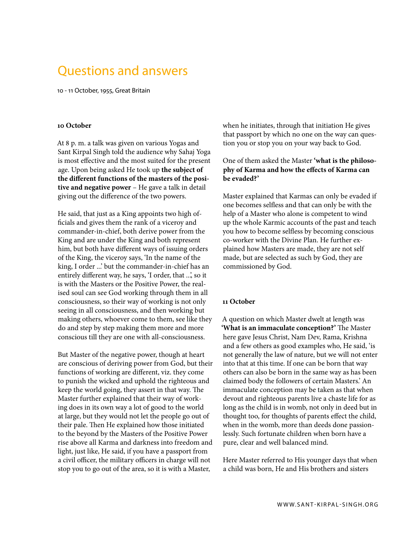# Questions and answers

10 - 11 October, 1955, Great Britain

#### **10 October**

At 8 p. m. a talk was given on various Yogas and Sant Kirpal Singh told the audience why Sahaj Yoga is most effective and the most suited for the present age. Upon being asked He took up **the subject of the different functions of the masters of the positive and negative power** – He gave a talk in detail giving out the difference of the two powers.

He said, that just as a King appoints two high officials and gives them the rank of a viceroy and commander-in-chief, both derive power from the King and are under the King and both represent him, but both have different ways of issuing orders of the King, the viceroy says, 'In the name of the king, I order ...' but the commander-in-chief has an entirely different way, he says, 'I order, that ...', so it is with the Masters or the Positive Power, the realised soul can see God working through them in all consciousness, so their way of working is not only seeing in all consciousness, and then working but making others, whoever come to them, see like they do and step by step making them more and more conscious till they are one with all-consciousness.

But Master of the negative power, though at heart are conscious of deriving power from God, but their functions of working are different, viz. they come to punish the wicked and uphold the righteous and keep the world going, they assert in that way. The Master further explained that their way of working does in its own way a lot of good to the world at large, but they would not let the people go out of their pale. Then He explained how those initiated to the beyond by the Masters of the Positive Power rise above all Karma and darkness into freedom and light, just like, He said, if you have a passport from a civil officer, the military officers in charge will not stop you to go out of the area, so it is with a Master,

when he initiates, through that initiation He gives that passport by which no one on the way can question you or stop you on your way back to God.

## One of them asked the Master **'what is the philosophy of Karma and how the effects of Karma can be evaded?'**

Master explained that Karmas can only be evaded if one becomes selfless and that can only be with the help of a Master who alone is competent to wind up the whole Karmic accounts of the past and teach you how to become selfless by becoming conscious co-worker with the Divine Plan. He further explained how Masters are made, they are not self made, but are selected as such by God, they are commissioned by God.

#### **11 October**

A question on which Master dwelt at length was **'What is an immaculate conception?'** The Master here gave Jesus Christ, Nam Dev, Rama, Krishna and a few others as good examples who, He said, 'is not generally the law of nature, but we will not enter into that at this time. If one can be born that way others can also be born in the same way as has been claimed body the followers of certain Masters.' An immaculate conception may be taken as that when devout and righteous parents live a chaste life for as long as the child is in womb, not only in deed but in thought too, for thoughts of parents effect the child, when in the womb, more than deeds done passionlessly. Such fortunate children when born have a pure, clear and well balanced mind.

Here Master referred to His younger days that when a child was born, He and His brothers and sisters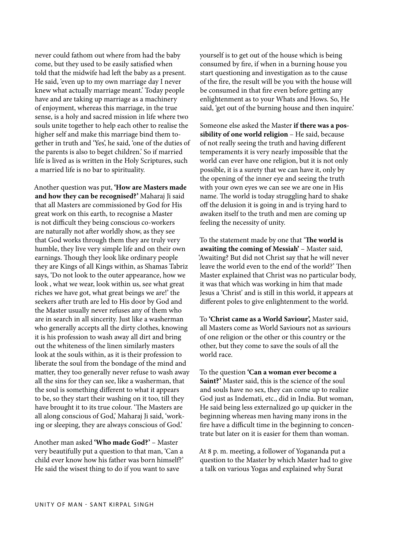never could fathom out where from had the baby come, but they used to be easily satisfied when told that the midwife had left the baby as a present. He said, 'even up to my own marriage day I never knew what actually marriage meant.' Today people have and are taking up marriage as a machinery of enjoyment, whereas this marriage, in the true sense, is a holy and sacred mission in life where two souls unite together to help each other to realise the higher self and make this marriage bind them together in truth and 'Yes', he said, 'one of the duties of the parents is also to beget children.' So if married life is lived as is written in the Holy Scriptures, such a married life is no bar to spirituality.

Another question was put, **'How are Masters made and how they can be recognised?'** Maharaj Ji said that all Masters are commissioned by God for His great work on this earth, to recognise a Master is not difficult they being conscious co-workers are naturally not after worldly show, as they see that God works through them they are truly very humble, they live very simple life and on their own earnings. Though they look like ordinary people they are Kings of all Kings within, as Shamas Tabriz says, 'Do not look to the outer appearance, how we look , what we wear, look within us, see what great riches we have got, what great beings we are!' the seekers after truth are led to His door by God and the Master usually never refuses any of them who are in search in all sincerity. Just like a washerman who generally accepts all the dirty clothes, knowing it is his profession to wash away all dirt and bring out the whiteness of the linen similarly masters look at the souls within, as it is their profession to liberate the soul from the bondage of the mind and matter, they too generally never refuse to wash away all the sins for they can see, like a washerman, that the soul is something different to what it appears to be, so they start their washing on it too, till they have brought it to its true colour. 'The Masters are all along conscious of God,' Maharaj Ji said, 'working or sleeping, they are always conscious of God.'

Another man asked **'Who made God?'** – Master very beautifully put a question to that man, 'Can a child ever know how his father was born himself?' He said the wisest thing to do if you want to save

yourself is to get out of the house which is being consumed by fire, if when in a burning house you start questioning and investigation as to the cause of the fire, the result will be you with the house will be consumed in that fire even before getting any enlightenment as to your Whats and Hows. So, He said, 'get out of the burning house and then inquire.'

Someone else asked the Master **if there was a possibility of one world religion** – He said, because of not really seeing the truth and having different temperaments it is very nearly impossible that the world can ever have one religion, but it is not only possible, it is a surety that we can have it, only by the opening of the inner eye and seeing the truth with your own eyes we can see we are one in His name. The world is today struggling hard to shake off the delusion it is going in and is trying hard to awaken itself to the truth and men are coming up feeling the necessity of unity.

To the statement made by one that '**The world is awaiting the coming of Messiah'** – Master said, 'Awaiting? But did not Christ say that he will never leave the world even to the end of the world?' Then Master explained that Christ was no particular body, it was that which was working in him that made Jesus a 'Christ' and is still in this world, it appears at different poles to give enlightenment to the world.

To **'Christ came as a World Saviour',** Master said, all Masters come as World Saviours not as saviours of one religion or the other or this country or the other, but they come to save the souls of all the world race.

To the question **'Can a woman ever become a Saint?'** Master said, this is the science of the soul and souls have no sex, they can come up to realize God just as Indemati, etc., did in India. But woman, He said being less externalized go up quicker in the beginning whereas men having many irons in the fire have a difficult time in the beginning to concentrate but later on it is easier for them than woman.

At 8 p. m. meeting, a follower of Yogananda put a question to the Master by which Master had to give a talk on various Yogas and explained why Surat